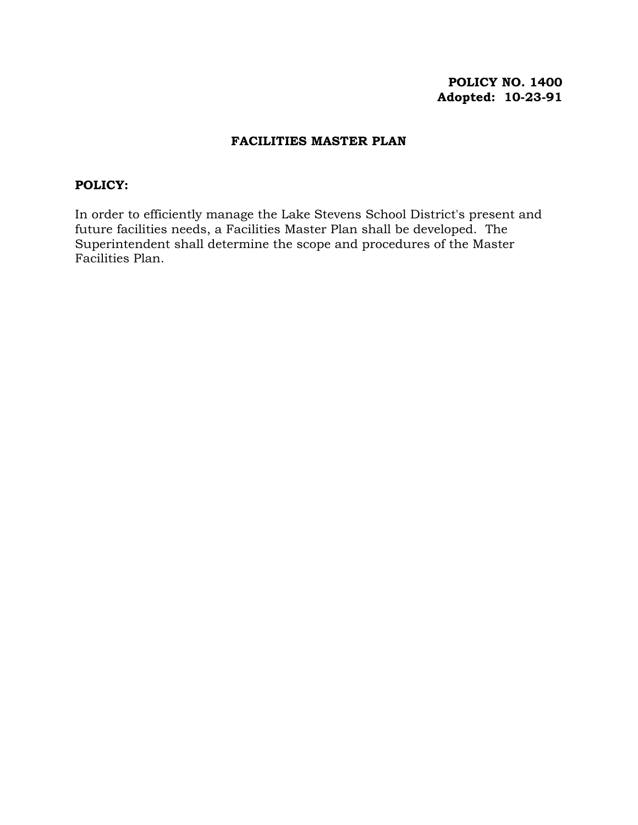# **POLICY NO. 1400 Adopted: 10-23-91**

### **FACILITIES MASTER PLAN**

#### **POLICY:**

In order to efficiently manage the Lake Stevens School District's present and future facilities needs, a Facilities Master Plan shall be developed. The Superintendent shall determine the scope and procedures of the Master Facilities Plan.